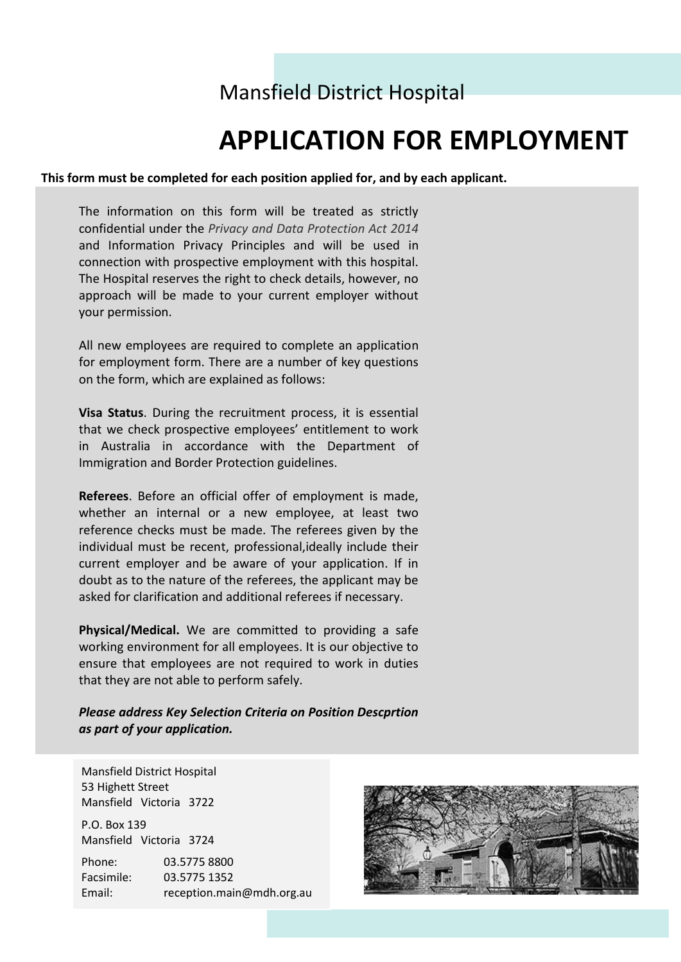## Mansfield District Hospital

# **APPLICATION FOR EMPLOYMENT**

### **This form must be completed for each position applied for, and by each applicant.**

The information on this form will be treated as strictly confidential under the *Privacy and Data Protection Act 2014* and Information Privacy Principles and will be used in connection with prospective employment with this hospital. The Hospital reserves the right to check details, however, no approach will be made to your current employer without your permission.

All new employees are required to complete an application for employment form. There are a number of key questions on the form, which are explained as follows:

**Visa Status**. During the recruitment process, it is essential that we check prospective employees' entitlement to work in Australia in accordance with the Department of Immigration and Border Protection guidelines.

**Referees**. Before an official offer of employment is made, whether an internal or a new employee, at least two reference checks must be made. The referees given by the individual must be recent, professional,ideally include their current employer and be aware of your application. If in doubt as to the nature of the referees, the applicant may be asked for clarification and additional referees if necessary.

**Physical/Medical.** We are committed to providing a safe working environment for all employees. It is our objective to ensure that employees are not required to work in duties that they are not able to perform safely.

*Please address Key Selection Criteria on Position Descprtion as part of your application.*

Mansfield District Hospital 53 Highett Street Mansfield Victoria 3722

P.O. Box 139 Mansfield Victoria 3724

Phone: 03.5775 8800 Facsimile: 03.5775 1352 Email: reception.main@mdh.org.au

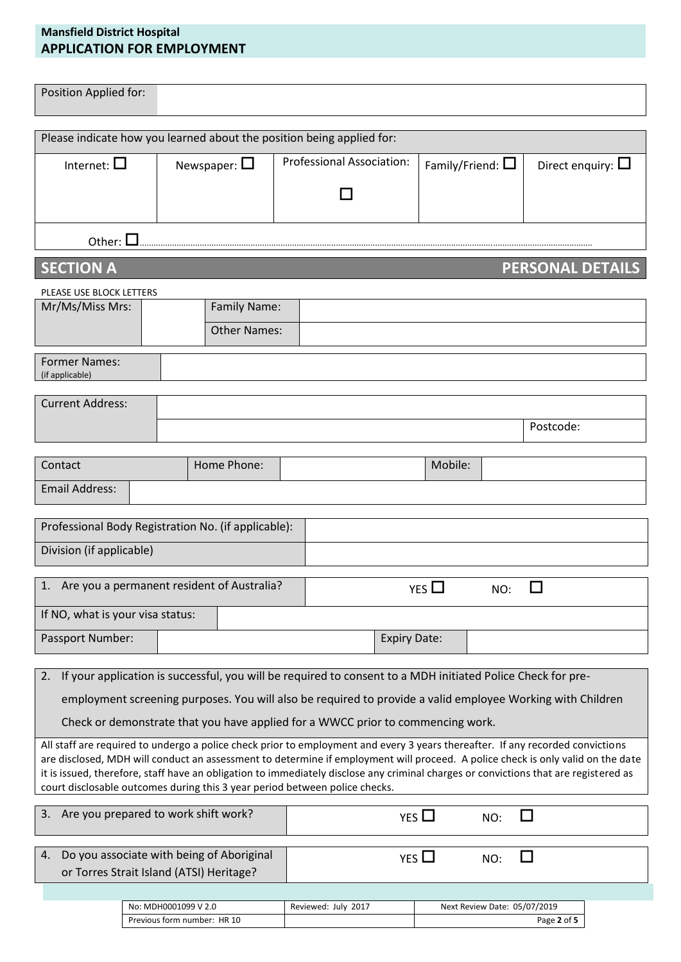### **Mansfield District Hospital APPLICATION FOR EMPLOYMENT**

| Position Applied for:                                                                                                                                                                                                                                                                                                                                                                                                                                                                    |                                          |                                     |  |                                                                                                             |                     |                              |     |                         |  |
|------------------------------------------------------------------------------------------------------------------------------------------------------------------------------------------------------------------------------------------------------------------------------------------------------------------------------------------------------------------------------------------------------------------------------------------------------------------------------------------|------------------------------------------|-------------------------------------|--|-------------------------------------------------------------------------------------------------------------|---------------------|------------------------------|-----|-------------------------|--|
|                                                                                                                                                                                                                                                                                                                                                                                                                                                                                          |                                          |                                     |  | Please indicate how you learned about the position being applied for:                                       |                     |                              |     |                         |  |
| Internet: $\square$                                                                                                                                                                                                                                                                                                                                                                                                                                                                      |                                          | Newspaper: $\square$                |  | <b>Professional Association:</b>                                                                            |                     | Family/Friend: $\square$     |     | Direct enquiry: $\Box$  |  |
|                                                                                                                                                                                                                                                                                                                                                                                                                                                                                          |                                          |                                     |  |                                                                                                             |                     |                              |     |                         |  |
| Other: $\square$                                                                                                                                                                                                                                                                                                                                                                                                                                                                         |                                          |                                     |  |                                                                                                             |                     |                              |     |                         |  |
| <b>SECTION A</b>                                                                                                                                                                                                                                                                                                                                                                                                                                                                         |                                          |                                     |  |                                                                                                             |                     |                              |     | <b>PERSONAL DETAILS</b> |  |
| PLEASE USE BLOCK LETTERS                                                                                                                                                                                                                                                                                                                                                                                                                                                                 |                                          |                                     |  |                                                                                                             |                     |                              |     |                         |  |
| Mr/Ms/Miss Mrs:                                                                                                                                                                                                                                                                                                                                                                                                                                                                          |                                          | Family Name:<br><b>Other Names:</b> |  |                                                                                                             |                     |                              |     |                         |  |
| <b>Former Names:</b><br>(if applicable)                                                                                                                                                                                                                                                                                                                                                                                                                                                  |                                          |                                     |  |                                                                                                             |                     |                              |     |                         |  |
| <b>Current Address:</b>                                                                                                                                                                                                                                                                                                                                                                                                                                                                  |                                          |                                     |  |                                                                                                             |                     |                              |     |                         |  |
|                                                                                                                                                                                                                                                                                                                                                                                                                                                                                          |                                          |                                     |  |                                                                                                             |                     |                              |     | Postcode:               |  |
| Contact                                                                                                                                                                                                                                                                                                                                                                                                                                                                                  |                                          | Home Phone:                         |  |                                                                                                             |                     | Mobile:                      |     |                         |  |
| <b>Email Address:</b>                                                                                                                                                                                                                                                                                                                                                                                                                                                                    |                                          |                                     |  |                                                                                                             |                     |                              |     |                         |  |
| Professional Body Registration No. (if applicable):                                                                                                                                                                                                                                                                                                                                                                                                                                      |                                          |                                     |  |                                                                                                             |                     |                              |     |                         |  |
| Division (if applicable)                                                                                                                                                                                                                                                                                                                                                                                                                                                                 |                                          |                                     |  |                                                                                                             |                     |                              |     |                         |  |
| 1. Are you a permanent resident of Australia?                                                                                                                                                                                                                                                                                                                                                                                                                                            |                                          |                                     |  |                                                                                                             |                     | YES                          | NO: |                         |  |
| If NO, what is your visa status:                                                                                                                                                                                                                                                                                                                                                                                                                                                         |                                          |                                     |  |                                                                                                             |                     |                              |     |                         |  |
| Passport Number:                                                                                                                                                                                                                                                                                                                                                                                                                                                                         |                                          |                                     |  |                                                                                                             | <b>Expiry Date:</b> |                              |     |                         |  |
| 2.                                                                                                                                                                                                                                                                                                                                                                                                                                                                                       |                                          |                                     |  | If your application is successful, you will be required to consent to a MDH initiated Police Check for pre- |                     |                              |     |                         |  |
|                                                                                                                                                                                                                                                                                                                                                                                                                                                                                          |                                          |                                     |  | employment screening purposes. You will also be required to provide a valid employee Working with Children  |                     |                              |     |                         |  |
| Check or demonstrate that you have applied for a WWCC prior to commencing work.                                                                                                                                                                                                                                                                                                                                                                                                          |                                          |                                     |  |                                                                                                             |                     |                              |     |                         |  |
| All staff are required to undergo a police check prior to employment and every 3 years thereafter. If any recorded convictions<br>are disclosed, MDH will conduct an assessment to determine if employment will proceed. A police check is only valid on the date<br>it is issued, therefore, staff have an obligation to immediately disclose any criminal charges or convictions that are registered as<br>court disclosable outcomes during this 3 year period between police checks. |                                          |                                     |  |                                                                                                             |                     |                              |     |                         |  |
| 3. Are you prepared to work shift work?<br>YES $\Box$<br>NO:                                                                                                                                                                                                                                                                                                                                                                                                                             |                                          |                                     |  |                                                                                                             |                     |                              |     |                         |  |
| Do you associate with being of Aboriginal<br>4.                                                                                                                                                                                                                                                                                                                                                                                                                                          |                                          |                                     |  |                                                                                                             | YES $\Box$          |                              | NO: | H                       |  |
|                                                                                                                                                                                                                                                                                                                                                                                                                                                                                          | or Torres Strait Island (ATSI) Heritage? |                                     |  |                                                                                                             |                     |                              |     |                         |  |
|                                                                                                                                                                                                                                                                                                                                                                                                                                                                                          | No: MDH0001099 V 2.0                     |                                     |  | Reviewed: July 2017                                                                                         |                     | Next Review Date: 05/07/2019 |     |                         |  |
|                                                                                                                                                                                                                                                                                                                                                                                                                                                                                          | Previous form number: HR 10              |                                     |  |                                                                                                             |                     |                              |     | Page 2 of 5             |  |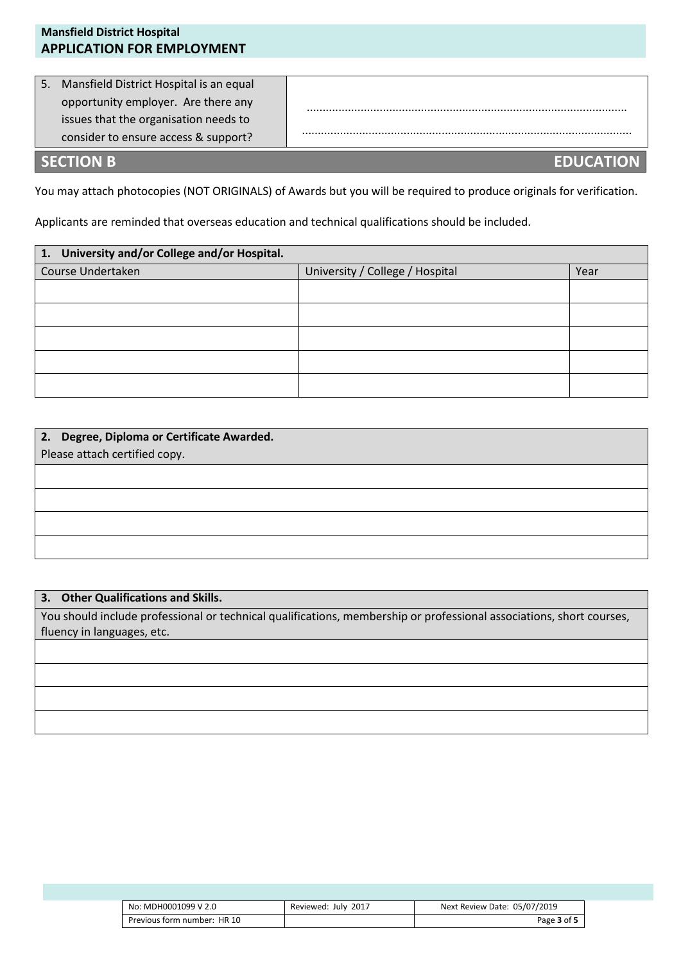| <b>Mansfield District Hospital</b><br><b>APPLICATION FOR EMPLOYMENT</b> |  |
|-------------------------------------------------------------------------|--|
|                                                                         |  |
| 5. Mansfield District Hospital is an equal                              |  |
| opportunity employer. Are there any                                     |  |
| issues that the organisation needs to                                   |  |
| consider to ensure access & support?                                    |  |
|                                                                         |  |

### **SECTION B EDUCATION**

You may attach photocopies (NOT ORIGINALS) of Awards but you will be required to produce originals for verification.

Applicants are reminded that overseas education and technical qualifications should be included.

| 1. University and/or College and/or Hospital. |                                 |      |  |  |
|-----------------------------------------------|---------------------------------|------|--|--|
| Course Undertaken                             | University / College / Hospital | Year |  |  |
|                                               |                                 |      |  |  |
|                                               |                                 |      |  |  |
|                                               |                                 |      |  |  |
|                                               |                                 |      |  |  |
|                                               |                                 |      |  |  |

| 2. Degree, Diploma or Certificate Awarded. |  |  |  |  |
|--------------------------------------------|--|--|--|--|
| Please attach certified copy.              |  |  |  |  |
|                                            |  |  |  |  |
|                                            |  |  |  |  |
|                                            |  |  |  |  |
|                                            |  |  |  |  |
|                                            |  |  |  |  |

### **3. Other Qualifications and Skills.**

You should include professional or technical qualifications, membership or professional associations, short courses, fluency in languages, etc.

| No: MDH0001099 V 2.0        | Reviewed: July 2017 | Next Review Date: 05/07/2019 |
|-----------------------------|---------------------|------------------------------|
| Previous form number: HR 10 |                     | Page 3 of 5                  |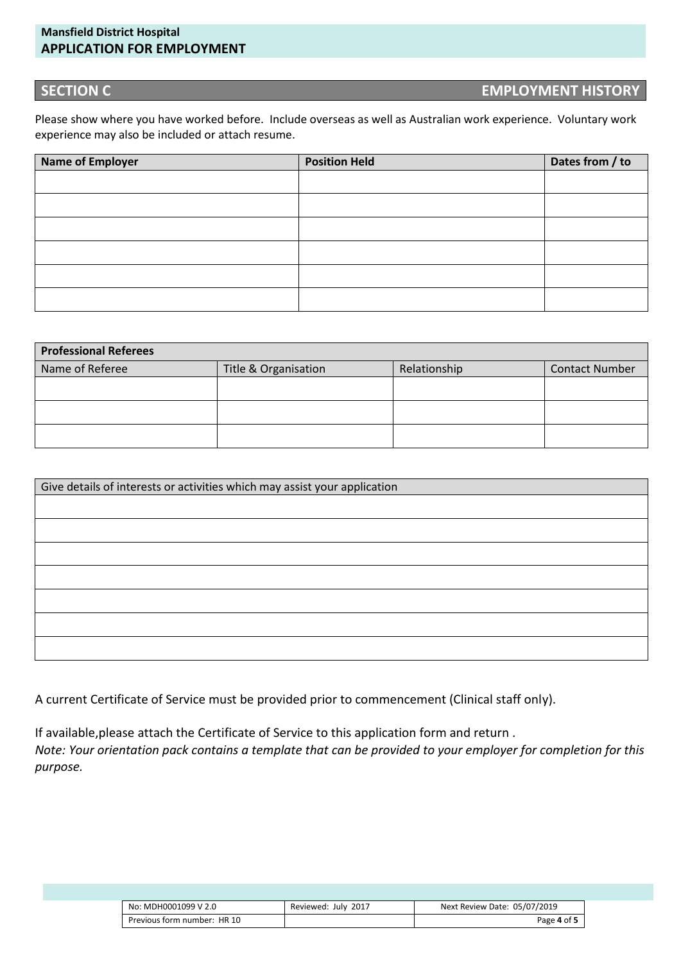### **Mansfield District Hospital APPLICATION FOR EMPLOYMENT**

### **SECTION C EMPLOYMENT HISTORY**

Please show where you have worked before. Include overseas as well as Australian work experience. Voluntary work experience may also be included or attach resume.

| Name of Employer | <b>Position Held</b> | Dates from / to |
|------------------|----------------------|-----------------|
|                  |                      |                 |
|                  |                      |                 |
|                  |                      |                 |
|                  |                      |                 |
|                  |                      |                 |
|                  |                      |                 |

| <b>Professional Referees</b> |                      |              |                       |  |  |
|------------------------------|----------------------|--------------|-----------------------|--|--|
| Name of Referee              | Title & Organisation | Relationship | <b>Contact Number</b> |  |  |
|                              |                      |              |                       |  |  |
|                              |                      |              |                       |  |  |
|                              |                      |              |                       |  |  |

| Give details of interests or activities which may assist your application |  |  |  |  |
|---------------------------------------------------------------------------|--|--|--|--|
|                                                                           |  |  |  |  |
|                                                                           |  |  |  |  |
|                                                                           |  |  |  |  |
|                                                                           |  |  |  |  |
|                                                                           |  |  |  |  |
|                                                                           |  |  |  |  |
|                                                                           |  |  |  |  |

A current Certificate of Service must be provided prior to commencement (Clinical staff only).

If available,please attach the Certificate of Service to this application form and return *. Note: Your orientation pack contains a template that can be provided to your employer for completion for this purpose.*

| No: MDH0001099 V 2.0        | 2017<br>Reviewed: July | Next Review Date: 05/07/2019 |
|-----------------------------|------------------------|------------------------------|
| Previous form number: HR 10 |                        | Page 4 of 5                  |